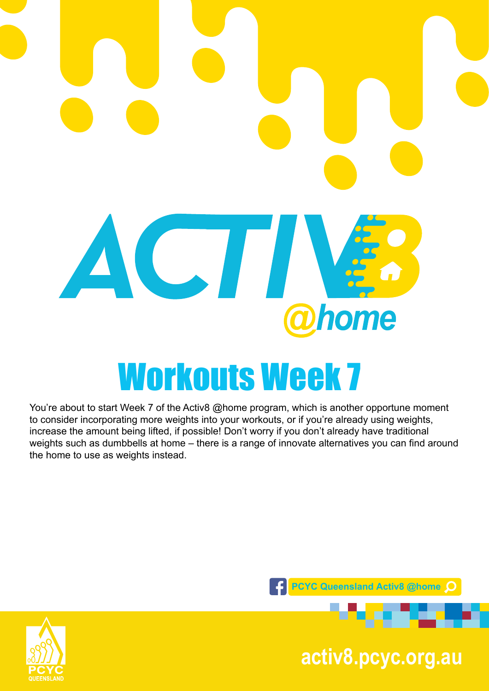

You're about to start Week 7 of the Activ8 @home program, which is another opportune moment to consider incorporating more weights into your workouts, or if you're already using weights, increase the amount being lifted, if possible! Don't worry if you don't already have traditional weights such as dumbbells at home – there is a range of innovate alternatives you can find around the home to use as weights instead.





**pcyc.org.au activ8.pcyc.org.au**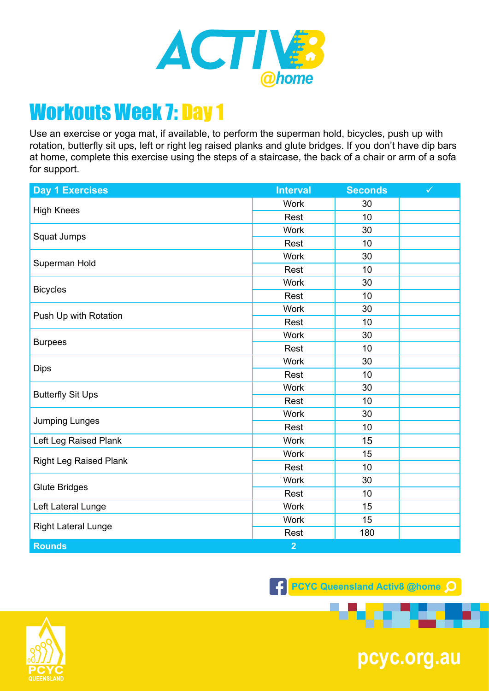

Use an exercise or yoga mat, if available, to perform the superman hold, bicycles, push up with rotation, butterfly sit ups, left or right leg raised planks and glute bridges. If you don't have dip bars at home, complete this exercise using the steps of a staircase, the back of a chair or arm of a sofa for support.

| <b>Day 1 Exercises</b>        | <b>Interval</b> | <b>Seconds</b> | $\checkmark$ |
|-------------------------------|-----------------|----------------|--------------|
| <b>High Knees</b>             | <b>Work</b>     | 30             |              |
|                               | Rest            | 10             |              |
| Squat Jumps                   | <b>Work</b>     | 30             |              |
|                               | Rest            | 10             |              |
| Superman Hold                 | <b>Work</b>     | 30             |              |
|                               | Rest            | 10             |              |
| <b>Bicycles</b>               | <b>Work</b>     | 30             |              |
|                               | Rest            | 10             |              |
| Push Up with Rotation         | <b>Work</b>     | 30             |              |
|                               | Rest            | 10             |              |
|                               | Work            | 30             |              |
| <b>Burpees</b>                | Rest            | 10             |              |
|                               | <b>Work</b>     | 30             |              |
| <b>Dips</b>                   | Rest            | 10             |              |
| <b>Butterfly Sit Ups</b>      | <b>Work</b>     | 30             |              |
|                               | Rest            | 10             |              |
| <b>Jumping Lunges</b>         | <b>Work</b>     | 30             |              |
|                               | Rest            | 10             |              |
| Left Leg Raised Plank         | <b>Work</b>     | 15             |              |
| <b>Right Leg Raised Plank</b> | <b>Work</b>     | 15             |              |
|                               | Rest            | 10             |              |
| <b>Glute Bridges</b>          | <b>Work</b>     | 30             |              |
|                               | Rest            | 10             |              |
| Left Lateral Lunge            | <b>Work</b>     | 15             |              |
| <b>Right Lateral Lunge</b>    | <b>Work</b>     | 15             |              |
|                               | Rest            | 180            |              |
| <b>Rounds</b>                 | $\overline{2}$  |                |              |

**F** PCYC Queensland Activ8 @home Q



**pcyc.org.au**

. .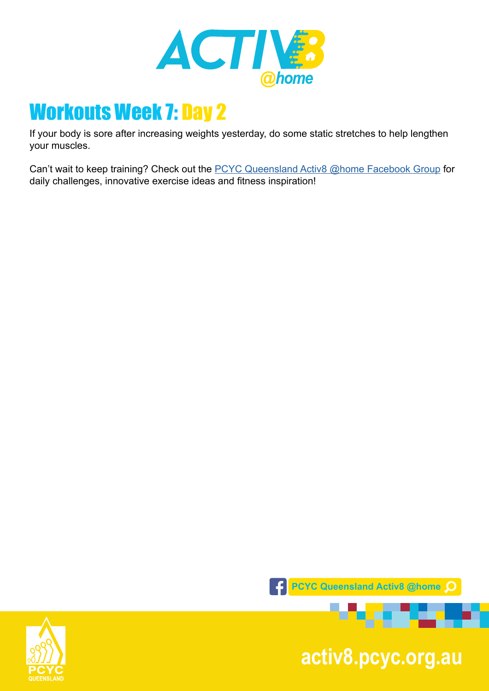

If your body is sore after increasing weights yesterday, do some static stretches to help lengthen your muscles.

Can't wait to keep training? Check out the [PCYC Queensland Activ8 @home Facebook Group](https://www.facebook.com/groups/2652320985090996/) for daily challenges, innovative exercise ideas and fitness inspiration!



**pcyc.org.au activ8.pcyc.org.au**

. . .

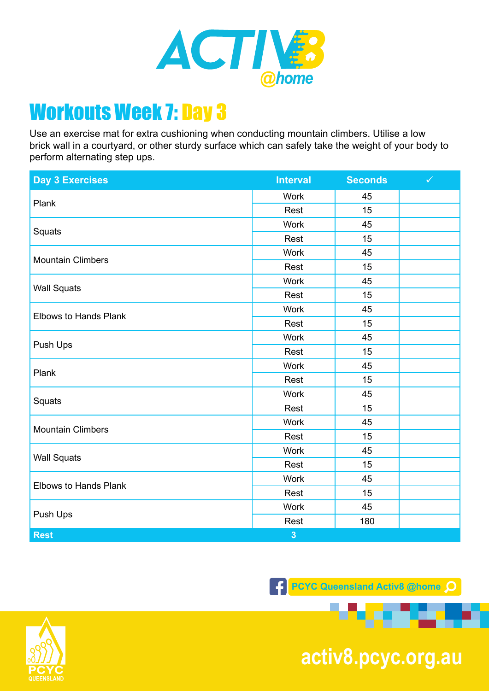

Use an exercise mat for extra cushioning when conducting mountain climbers. Utilise a low brick wall in a courtyard, or other sturdy surface which can safely take the weight of your body to perform alternating step ups.

| <b>Day 3 Exercises</b>       | <b>Interval</b>         | <b>Seconds</b> | $\checkmark$ |
|------------------------------|-------------------------|----------------|--------------|
| Plank                        | <b>Work</b>             | 45             |              |
|                              | Rest                    | 15             |              |
| Squats                       | <b>Work</b>             | 45             |              |
|                              | Rest                    | 15             |              |
| <b>Mountain Climbers</b>     | <b>Work</b>             | 45             |              |
|                              | Rest                    | 15             |              |
| <b>Wall Squats</b>           | <b>Work</b>             | 45             |              |
|                              | Rest                    | 15             |              |
| <b>Elbows to Hands Plank</b> | <b>Work</b>             | 45             |              |
|                              | Rest                    | 15             |              |
|                              | Work                    | 45             |              |
| Push Ups                     | Rest                    | 15             |              |
| Plank                        | <b>Work</b>             | 45             |              |
|                              | Rest                    | 15             |              |
|                              | <b>Work</b>             | 45             |              |
| Squats                       | Rest                    | 15             |              |
| <b>Mountain Climbers</b>     | <b>Work</b>             | 45             |              |
|                              | Rest                    | 15             |              |
| <b>Wall Squats</b>           | <b>Work</b>             | 45             |              |
|                              | Rest                    | 15             |              |
| <b>Elbows to Hands Plank</b> | Work                    | 45             |              |
|                              | Rest                    | 15             |              |
| Push Ups                     | Work                    | 45             |              |
|                              | Rest                    | 180            |              |
| <b>Rest</b>                  | $\overline{\mathbf{3}}$ |                |              |

**F** PCYC Queensland Activ8 @home Q



**pcyc.org.au activ8.pcyc.org.au**

. . .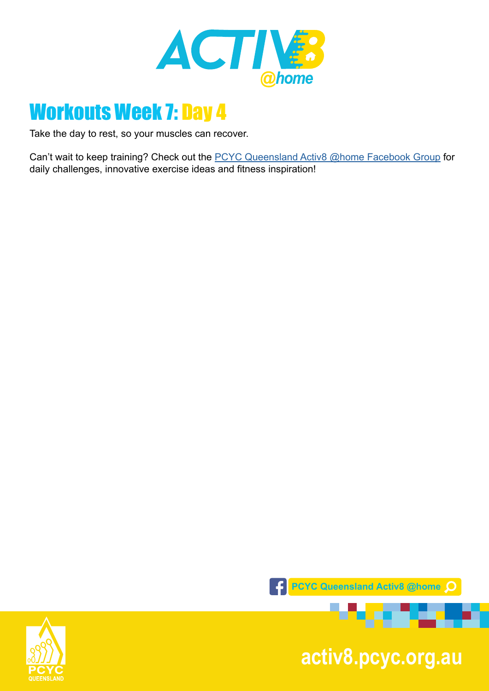

Take the day to rest, so your muscles can recover.

Can't wait to keep training? Check out the **PCYC Queensland Activ8 @home Facebook Group** for daily challenges, innovative exercise ideas and fitness inspiration!



**pcyc.org.au activ8.pcyc.org.au**

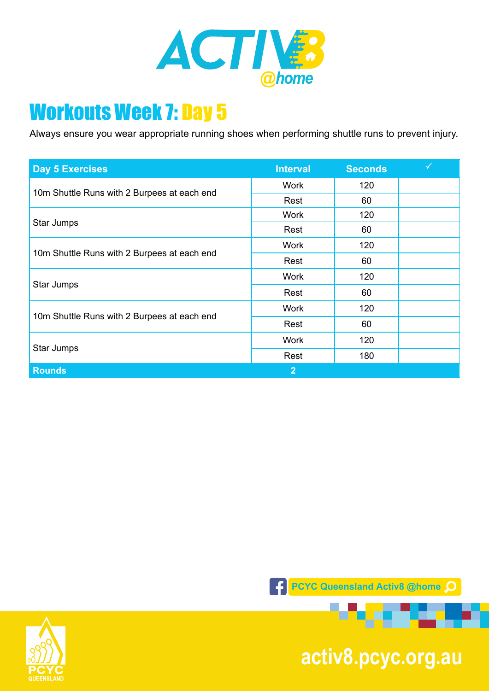

Always ensure you wear appropriate running shoes when performing shuttle runs to prevent injury.

| <b>Day 5 Exercises</b>                      | <b>Interval</b> | <b>Seconds</b> |  |
|---------------------------------------------|-----------------|----------------|--|
| 10m Shuttle Runs with 2 Burpees at each end | <b>Work</b>     | 120            |  |
|                                             | Rest            | 60             |  |
| Star Jumps                                  | <b>Work</b>     | 120            |  |
|                                             | Rest            | 60             |  |
| 10m Shuttle Runs with 2 Burpees at each end | <b>Work</b>     | 120            |  |
|                                             | Rest            | 60             |  |
| Star Jumps                                  | <b>Work</b>     | 120            |  |
|                                             | Rest            | 60             |  |
| 10m Shuttle Runs with 2 Burpees at each end | <b>Work</b>     | 120            |  |
|                                             | Rest            | 60             |  |
| Star Jumps                                  | <b>Work</b>     | 120            |  |
|                                             | Rest            | 180            |  |
| <b>Rounds</b>                               | $\overline{2}$  |                |  |





**pcyc.org.au activ8.pcyc.org.au**

**1000000** 

a ser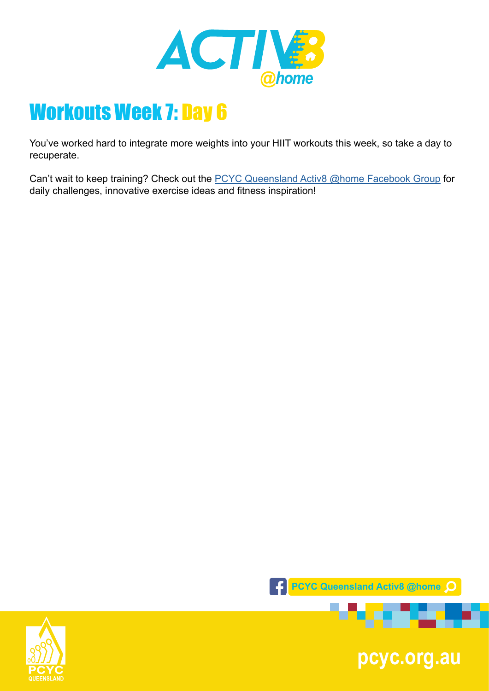

You've worked hard to integrate more weights into your HIIT workouts this week, so take a day to recuperate.

Can't wait to keep training? Check out the **PCYC Queensland Activ8 @home Facebook Group** for daily challenges, innovative exercise ideas and fitness inspiration!